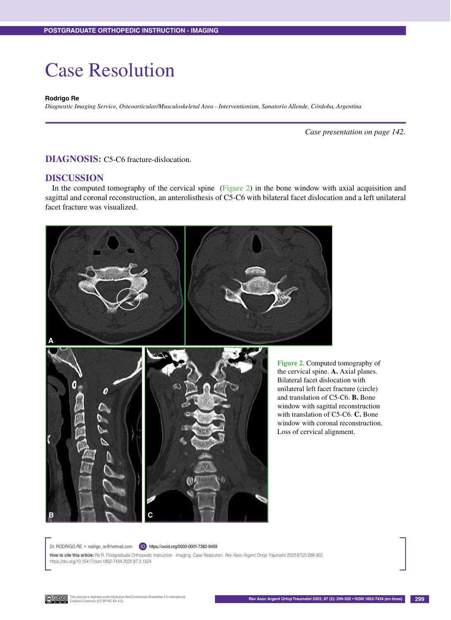## Case Resolution

## **Rodrigo Re**

*Diagnostic Imaging Service, Osteoarticular/Musculoskeletal Area - Interventionism, Sanatorio Allende, Córdoba, Argentina*

*Case presentation on page 142.*

**DIAGNOSIS:** C5-C6 fracture-dislocation.

## **DISCUSSION**

In the computed tomography of the cervical spine (Figure 2) in the bone window with axial acquisition and sagittal and coronal reconstruction, an anterolisthesis of C5-C6 with bilateral facet dislocation and a left unilateral facet fracture was visualized.





**Figure 2.** Computed tomography of the cervical spine. **A.** Axial planes. Bilateral facet dislocation with unilateral left facet fracture (circle) and translation of C5-C6. **B.** Bone window with sagittal reconstruction with translation of C5-C6. **C.** Bone window with coronal reconstruction. Loss of cervical alignment.

Dr. RODRIGO RE • rodrigo\_re@hotmail.com (ID) https://orcid.org/0000-0001-7382-9459

**How to cite this article:** Re R. Postgraduate Orthopedic Instruction - Imaging. Case Resolution. *Rev Asoc Argent Ortop Traumatol* 2022;87(2):299-302. https://doi.org/10.15417/issn.1852-7434.2022.87.2.1524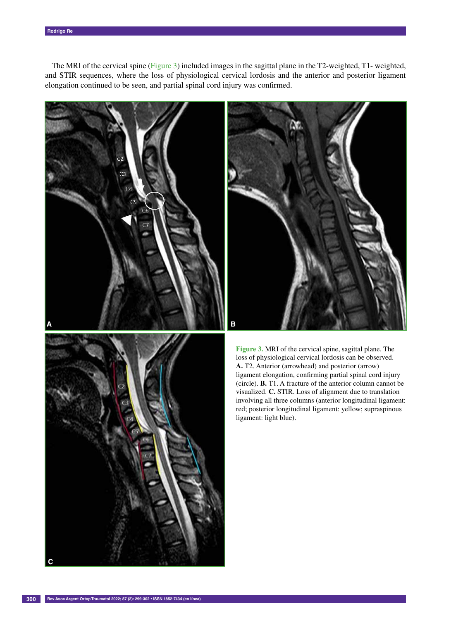The MRI of the cervical spine (Figure 3) included images in the sagittal plane in the T2-weighted, T1- weighted, and STIR sequences, where the loss of physiological cervical lordosis and the anterior and posterior ligament elongation continued to be seen, and partial spinal cord injury was confirmed.







**Figure 3.** MRI of the cervical spine, sagittal plane. The loss of physiological cervical lordosis can be observed. **A.** T2. Anterior (arrowhead) and posterior (arrow) ligament elongation, confirming partial spinal cord injury (circle). **B.** T1. A fracture of the anterior column cannot be visualized. **C.** STIR. Loss of alignment due to translation involving all three columns (anterior longitudinal ligament: red; posterior longitudinal ligament: yellow; supraspinous ligament: light blue).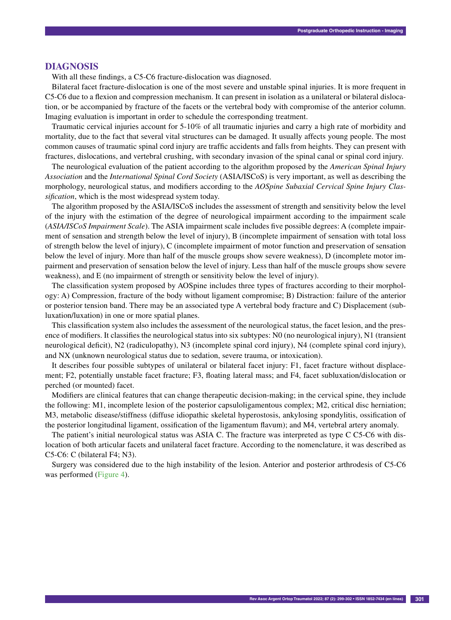## **DIAGNOSIS**

With all these findings, a C5-C6 fracture-dislocation was diagnosed.

Bilateral facet fracture-dislocation is one of the most severe and unstable spinal injuries. It is more frequent in C5-C6 due to a flexion and compression mechanism. It can present in isolation as a unilateral or bilateral dislocation, or be accompanied by fracture of the facets or the vertebral body with compromise of the anterior column. Imaging evaluation is important in order to schedule the corresponding treatment.

Traumatic cervical injuries account for 5-10% of all traumatic injuries and carry a high rate of morbidity and mortality, due to the fact that several vital structures can be damaged. It usually affects young people. The most common causes of traumatic spinal cord injury are traffic accidents and falls from heights. They can present with fractures, dislocations, and vertebral crushing, with secondary invasion of the spinal canal or spinal cord injury.

The neurological evaluation of the patient according to the algorithm proposed by the *American Spinal Injury Association* and the *International Spinal Cord Society* (ASIA/ISCoS) is very important, as well as describing the morphology, neurological status, and modifiers according to the *AOSpine Subaxial Cervical Spine Injury Classification*, which is the most widespread system today.

The algorithm proposed by the ASIA/ISCoS includes the assessment of strength and sensitivity below the level of the injury with the estimation of the degree of neurological impairment according to the impairment scale (*ASIA/ISCoS Impairment Scale*). The ASIA impairment scale includes five possible degrees: A (complete impairment of sensation and strength below the level of injury), B (incomplete impairment of sensation with total loss of strength below the level of injury), C (incomplete impairment of motor function and preservation of sensation below the level of injury. More than half of the muscle groups show severe weakness), D (incomplete motor impairment and preservation of sensation below the level of injury. Less than half of the muscle groups show severe weakness), and E (no impairment of strength or sensitivity below the level of injury).

The classification system proposed by AOSpine includes three types of fractures according to their morphology: A) Compression, fracture of the body without ligament compromise; B) Distraction: failure of the anterior or posterior tension band. There may be an associated type A vertebral body fracture and C) Displacement (subluxation/luxation) in one or more spatial planes.

This classification system also includes the assessment of the neurological status, the facet lesion, and the presence of modifiers. It classifies the neurological status into six subtypes: N0 (no neurological injury), N1 (transient neurological deficit), N2 (radiculopathy), N3 (incomplete spinal cord injury), N4 (complete spinal cord injury), and NX (unknown neurological status due to sedation, severe trauma, or intoxication).

It describes four possible subtypes of unilateral or bilateral facet injury: F1, facet fracture without displacement; F2, potentially unstable facet fracture; F3, floating lateral mass; and F4, facet subluxation/dislocation or perched (or mounted) facet.

Modifiers are clinical features that can change therapeutic decision-making; in the cervical spine, they include the following: M1, incomplete lesion of the posterior capsuloligamentous complex; M2, critical disc herniation; M3, metabolic disease/stiffness (diffuse idiopathic skeletal hyperostosis, ankylosing spondylitis, ossification of the posterior longitudinal ligament, ossification of the ligamentum flavum); and M4, vertebral artery anomaly.

The patient's initial neurological status was ASIA C. The fracture was interpreted as type C C5-C6 with dislocation of both articular facets and unilateral facet fracture. According to the nomenclature, it was described as C5-C6: C (bilateral F4; N3).

Surgery was considered due to the high instability of the lesion. Anterior and posterior arthrodesis of C5-C6 was performed (Figure 4).